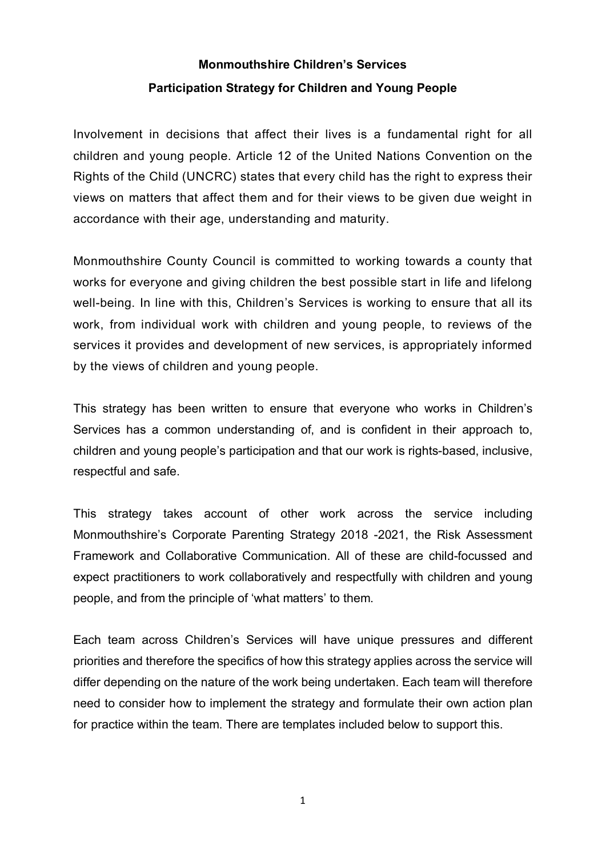# **Monmouthshire Children's Services Participation Strategy for Children and Young People**

Involvement in decisions that affect their lives is a fundamental right for all children and young people. Article 12 of the United Nations Convention on the Rights of the Child (UNCRC) states that every child has the right to express their views on matters that affect them and for their views to be given due weight in accordance with their age, understanding and maturity.

Monmouthshire County Council is committed to working towards a county that works for everyone and giving children the best possible start in life and lifelong well-being. In line with this, Children's Services is working to ensure that all its work, from individual work with children and young people, to reviews of the services it provides and development of new services, is appropriately informed by the views of children and young people.

This strategy has been written to ensure that everyone who works in Children's Services has a common understanding of, and is confident in their approach to, children and young people's participation and that our work is rights-based, inclusive, respectful and safe.

This strategy takes account of other work across the service including Monmouthshire's Corporate Parenting Strategy 2018 -2021, the Risk Assessment Framework and Collaborative Communication. All of these are child-focussed and expect practitioners to work collaboratively and respectfully with children and young people, and from the principle of 'what matters' to them.

Each team across Children's Services will have unique pressures and different priorities and therefore the specifics of how this strategy applies across the service will differ depending on the nature of the work being undertaken. Each team will therefore need to consider how to implement the strategy and formulate their own action plan for practice within the team. There are templates included below to support this.

1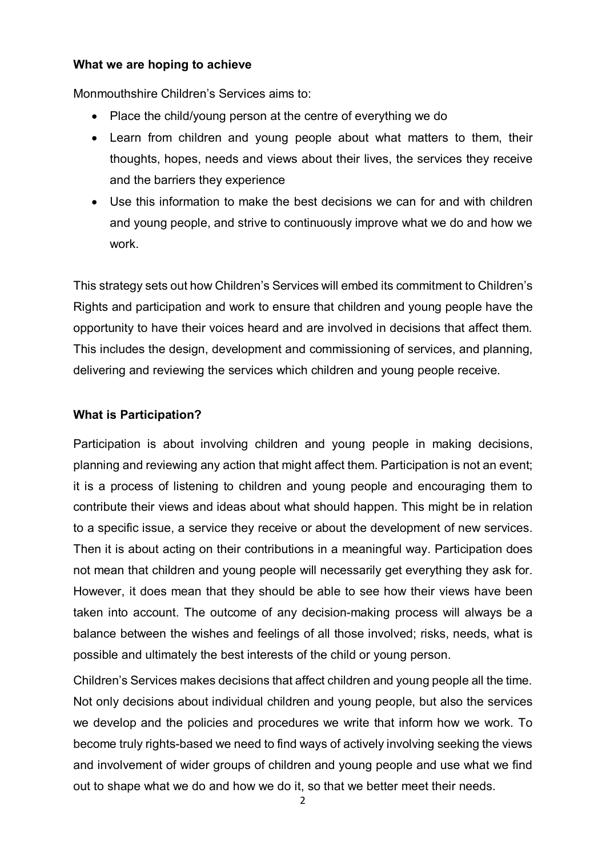#### **What we are hoping to achieve**

Monmouthshire Children's Services aims to:

- Place the child/young person at the centre of everything we do
- Learn from children and young people about what matters to them, their thoughts, hopes, needs and views about their lives, the services they receive and the barriers they experience
- Use this information to make the best decisions we can for and with children and young people, and strive to continuously improve what we do and how we work.

This strategy sets out how Children's Services will embed its commitment to Children's Rights and participation and work to ensure that children and young people have the opportunity to have their voices heard and are involved in decisions that affect them. This includes the design, development and commissioning of services, and planning, delivering and reviewing the services which children and young people receive.

#### **What is Participation?**

Participation is about involving children and young people in making decisions, planning and reviewing any action that might affect them. Participation is not an event; it is a process of listening to children and young people and encouraging them to contribute their views and ideas about what should happen. This might be in relation to a specific issue, a service they receive or about the development of new services. Then it is about acting on their contributions in a meaningful way. Participation does not mean that children and young people will necessarily get everything they ask for. However, it does mean that they should be able to see how their views have been taken into account. The outcome of any decision-making process will always be a balance between the wishes and feelings of all those involved; risks, needs, what is possible and ultimately the best interests of the child or young person.

Children's Services makes decisions that affect children and young people all the time. Not only decisions about individual children and young people, but also the services we develop and the policies and procedures we write that inform how we work. To become truly rights-based we need to find ways of actively involving seeking the views and involvement of wider groups of children and young people and use what we find out to shape what we do and how we do it, so that we better meet their needs.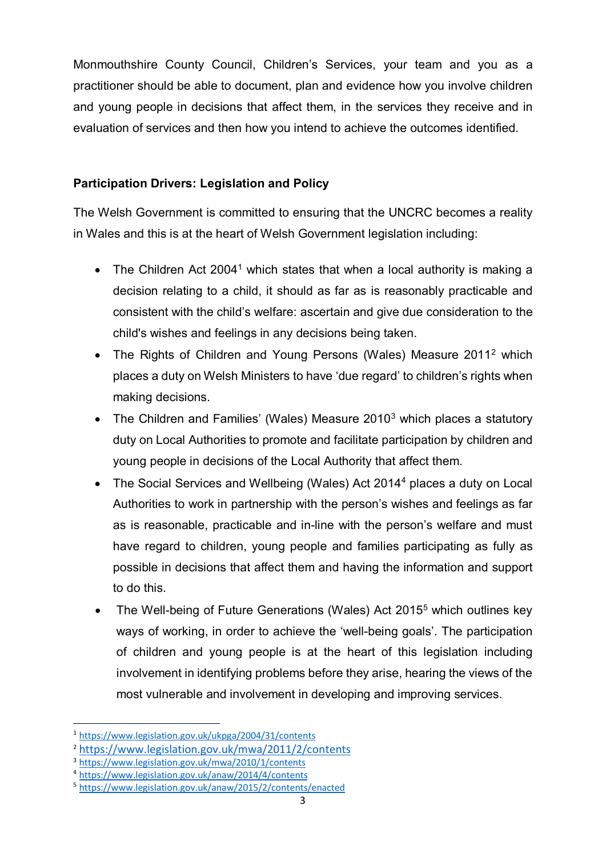Monmouthshire County Council, Children's Services, your team and you as a practitioner should be able to document, plan and evidence how you involve children and young people in decisions that affect them, in the services they receive and in evaluation of services and then how you intend to achieve the outcomes identified.

# **Participation Drivers: Legislation and Policy**

The Welsh Government is committed to ensuring that the UNCRC becomes a reality in Wales and this is at the heart of Welsh Government legislation including:

- The Children Act 2004<sup>[1](#page-2-0)</sup> which states that when a local authority is making a decision relating to a child, it should as far as is reasonably practicable and consistent with the child's welfare: ascertain and give due consideration to the child's wishes and feelings in any decisions being taken.
- The Rights of Children and Young Persons (Wales) Measure 2011[2](#page-2-1) which places a duty on Welsh Ministers to have 'due regard' to children's rights when making decisions.
- The Children and Families' (Wales) Measure 2010<sup>[3](#page-2-2)</sup> which places a statutory duty on Local Authorities to promote and facilitate participation by children and young people in decisions of the Local Authority that affect them.
- The Social Services and Wellbeing (Wales) Act 2014[4](#page-2-3) places a duty on Local Authorities to work in partnership with the person's wishes and feelings as far as is reasonable, practicable and in-line with the person's welfare and must have regard to children, young people and families participating as fully as possible in decisions that affect them and having the information and support to do this.
- The Well-being of Future Generations (Wales) Act 201[5](#page-2-4)<sup>5</sup> which outlines key ways of working, in order to achieve the 'well-being goals'. The participation of children and young people is at the heart of this legislation including involvement in identifying problems before they arise, hearing the views of the most vulnerable and involvement in developing and improving services.

<span id="page-2-0"></span> <sup>1</sup> <https://www.legislation.gov.uk/ukpga/2004/31/contents>

<span id="page-2-1"></span><sup>2</sup> <https://www.legislation.gov.uk/mwa/2011/2/contents>

<span id="page-2-2"></span><sup>3</sup> <https://www.legislation.gov.uk/mwa/2010/1/contents>

<span id="page-2-3"></span><sup>4</sup> <https://www.legislation.gov.uk/anaw/2014/4/contents>

<span id="page-2-4"></span><sup>5</sup> <https://www.legislation.gov.uk/anaw/2015/2/contents/enacted>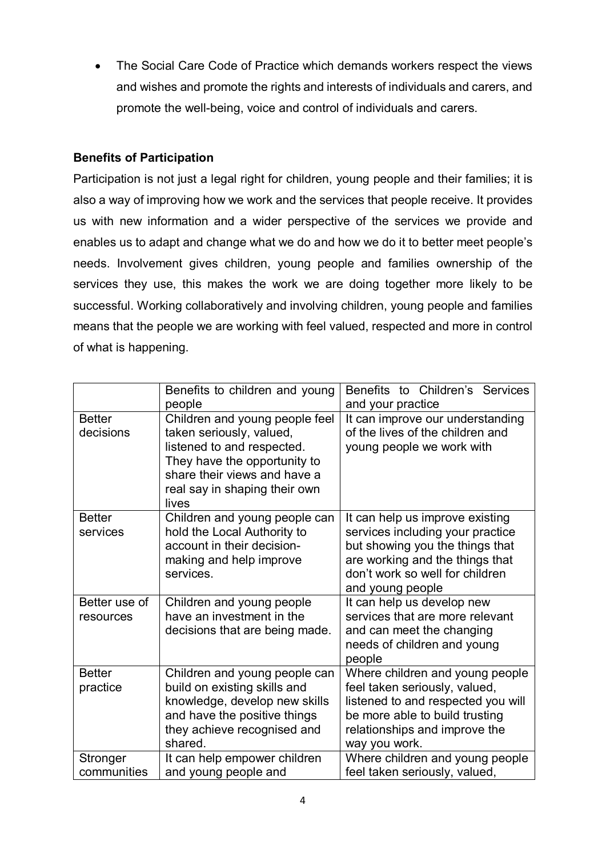The Social Care Code of Practice which demands workers respect the views and wishes and promote the rights and interests of individuals and carers, and promote the well-being, voice and control of individuals and carers.

#### **Benefits of Participation**

Participation is not just a legal right for children, young people and their families; it is also a way of improving how we work and the services that people receive. It provides us with new information and a wider perspective of the services we provide and enables us to adapt and change what we do and how we do it to better meet people's needs. Involvement gives children, young people and families ownership of the services they use, this makes the work we are doing together more likely to be successful. Working collaboratively and involving children, young people and families means that the people we are working with feel valued, respected and more in control of what is happening.

|                            | Benefits to children and young<br>people                                                                                                                                                           | Benefits to Children's Services<br>and your practice                                                                                                                                             |
|----------------------------|----------------------------------------------------------------------------------------------------------------------------------------------------------------------------------------------------|--------------------------------------------------------------------------------------------------------------------------------------------------------------------------------------------------|
| <b>Better</b><br>decisions | Children and young people feel<br>taken seriously, valued,<br>listened to and respected.<br>They have the opportunity to<br>share their views and have a<br>real say in shaping their own<br>lives | It can improve our understanding<br>of the lives of the children and<br>young people we work with                                                                                                |
| <b>Better</b><br>services  | Children and young people can<br>hold the Local Authority to<br>account in their decision-<br>making and help improve<br>services.                                                                 | It can help us improve existing<br>services including your practice<br>but showing you the things that<br>are working and the things that<br>don't work so well for children<br>and young people |
| Better use of<br>resources | Children and young people<br>have an investment in the<br>decisions that are being made.                                                                                                           | It can help us develop new<br>services that are more relevant<br>and can meet the changing<br>needs of children and young<br>people                                                              |
| <b>Better</b><br>practice  | Children and young people can<br>build on existing skills and<br>knowledge, develop new skills<br>and have the positive things<br>they achieve recognised and<br>shared.                           | Where children and young people<br>feel taken seriously, valued,<br>listened to and respected you will<br>be more able to build trusting<br>relationships and improve the<br>way you work.       |
| Stronger<br>communities    | It can help empower children<br>and young people and                                                                                                                                               | Where children and young people<br>feel taken seriously, valued,                                                                                                                                 |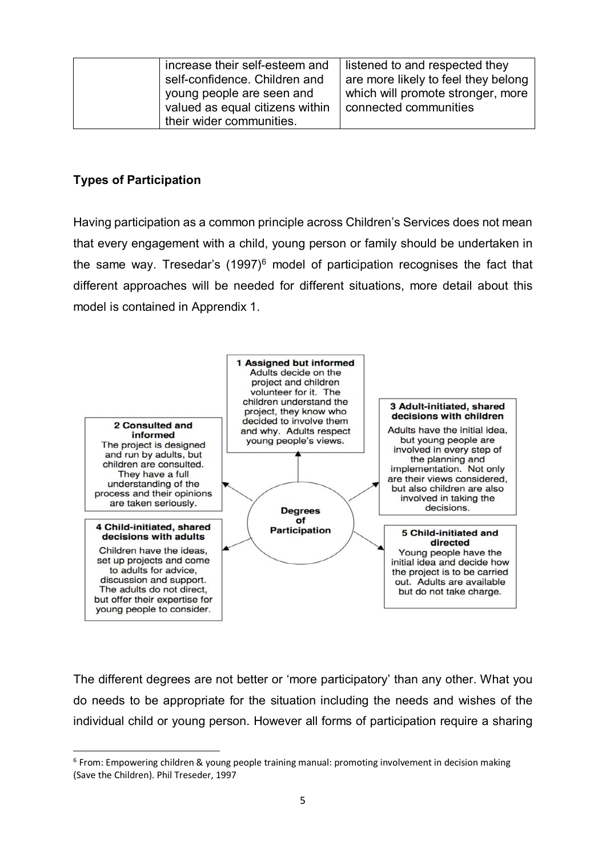| increase their self-esteem and<br>self-confidence. Children and<br>young people are seen and | I listened to and respected they<br>are more likely to feel they belong<br>which will promote stronger, more |
|----------------------------------------------------------------------------------------------|--------------------------------------------------------------------------------------------------------------|
| valued as equal citizens within<br>their wider communities.                                  | connected communities                                                                                        |

#### **Types of Participation**

Having participation as a common principle across Children's Services does not mean that every engagement with a child, young person or family should be undertaken in the same way. Tresedar's  $(1997)^6$  $(1997)^6$  model of participation recognises the fact that different approaches will be needed for different situations, more detail about this model is contained in Apprendix 1.



The different degrees are not better or 'more participatory' than any other. What you do needs to be appropriate for the situation including the needs and wishes of the individual child or young person. However all forms of participation require a sharing

<span id="page-4-0"></span> <sup>6</sup> From: Empowering children & young people training manual: promoting involvement in decision making (Save the Children). Phil Treseder, 1997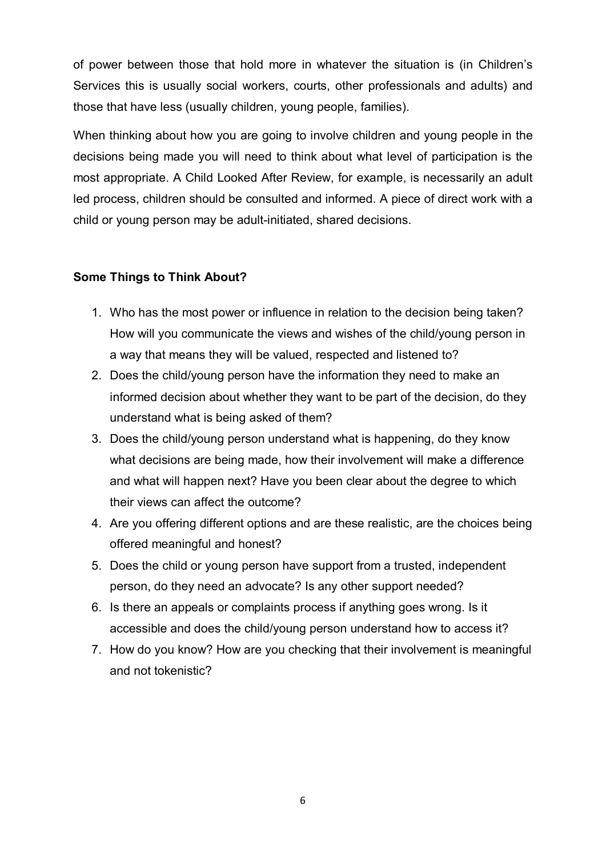of power between those that hold more in whatever the situation is (in Children's Services this is usually social workers, courts, other professionals and adults) and those that have less (usually children, young people, families).

When thinking about how you are going to involve children and young people in the decisions being made you will need to think about what level of participation is the most appropriate. A Child Looked After Review, for example, is necessarily an adult led process, children should be consulted and informed. A piece of direct work with a child or young person may be adult-initiated, shared decisions.

#### **Some Things to Think About?**

- 1. Who has the most power or influence in relation to the decision being taken? How will you communicate the views and wishes of the child/young person in a way that means they will be valued, respected and listened to?
- 2. Does the child/young person have the information they need to make an informed decision about whether they want to be part of the decision, do they understand what is being asked of them?
- 3. Does the child/young person understand what is happening, do they know what decisions are being made, how their involvement will make a difference and what will happen next? Have you been clear about the degree to which their views can affect the outcome?
- 4. Are you offering different options and are these realistic, are the choices being offered meaningful and honest?
- 5. Does the child or young person have support from a trusted, independent person, do they need an advocate? Is any other support needed?
- 6. Is there an appeals or complaints process if anything goes wrong. Is it accessible and does the child/young person understand how to access it?
- 7. How do you know? How are you checking that their involvement is meaningful and not tokenistic?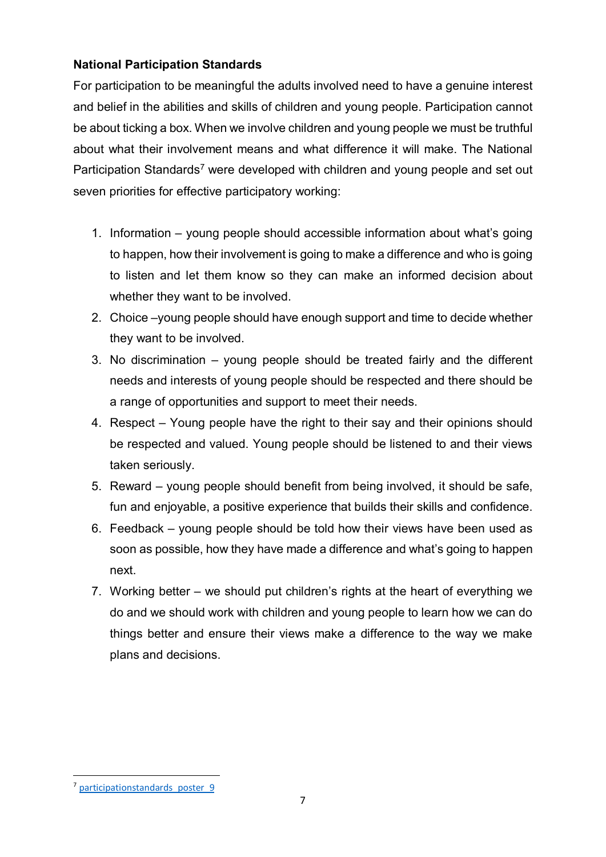# **National Participation Standards**

For participation to be meaningful the adults involved need to have a genuine interest and belief in the abilities and skills of children and young people. Participation cannot be about ticking a box. When we involve children and young people we must be truthful about what their involvement means and what difference it will make. The National Participation Standards<sup>[7](#page-6-0)</sup> were developed with children and young people and set out seven priorities for effective participatory working:

- 1. Information young people should accessible information about what's going to happen, how their involvement is going to make a difference and who is going to listen and let them know so they can make an informed decision about whether they want to be involved.
- 2. Choice –young people should have enough support and time to decide whether they want to be involved.
- 3. No discrimination young people should be treated fairly and the different needs and interests of young people should be respected and there should be a range of opportunities and support to meet their needs.
- 4. Respect Young people have the right to their say and their opinions should be respected and valued. Young people should be listened to and their views taken seriously.
- 5. Reward young people should benefit from being involved, it should be safe, fun and enjoyable, a positive experience that builds their skills and confidence.
- 6. Feedback young people should be told how their views have been used as soon as possible, how they have made a difference and what's going to happen next.
- 7. Working better we should put children's rights at the heart of everything we do and we should work with children and young people to learn how we can do things better and ensure their views make a difference to the way we make plans and decisions.

<span id="page-6-0"></span><sup>&</sup>lt;sup>7</sup> [participationstandards\\_poster\\_9](https://www.childreninwales.org.uk/wp-content/uploads/2016/11/ParticipationStandards_Poster_9.pdf)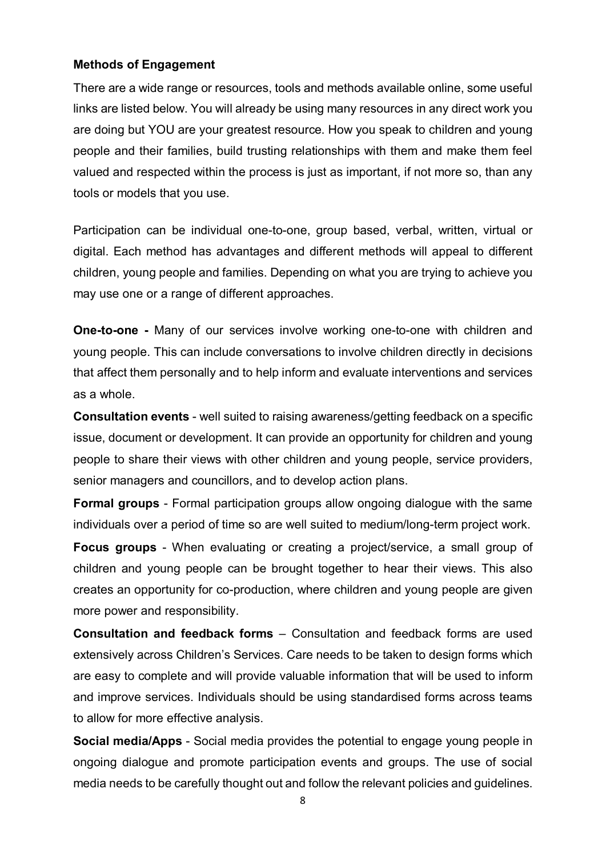#### **Methods of Engagement**

There are a wide range or resources, tools and methods available online, some useful links are listed below. You will already be using many resources in any direct work you are doing but YOU are your greatest resource. How you speak to children and young people and their families, build trusting relationships with them and make them feel valued and respected within the process is just as important, if not more so, than any tools or models that you use.

Participation can be individual one-to-one, group based, verbal, written, virtual or digital. Each method has advantages and different methods will appeal to different children, young people and families. Depending on what you are trying to achieve you may use one or a range of different approaches.

**One-to-one -** Many of our services involve working one-to-one with children and young people. This can include conversations to involve children directly in decisions that affect them personally and to help inform and evaluate interventions and services as a whole.

**Consultation events** - well suited to raising awareness/getting feedback on a specific issue, document or development. It can provide an opportunity for children and young people to share their views with other children and young people, service providers, senior managers and councillors, and to develop action plans.

**Formal groups** - Formal participation groups allow ongoing dialogue with the same individuals over a period of time so are well suited to medium/long-term project work.

**Focus groups** - When evaluating or creating a project/service, a small group of children and young people can be brought together to hear their views. This also creates an opportunity for co-production, where children and young people are given more power and responsibility.

**Consultation and feedback forms** – Consultation and feedback forms are used extensively across Children's Services. Care needs to be taken to design forms which are easy to complete and will provide valuable information that will be used to inform and improve services. Individuals should be using standardised forms across teams to allow for more effective analysis.

**Social media/Apps** - Social media provides the potential to engage young people in ongoing dialogue and promote participation events and groups. The use of social media needs to be carefully thought out and follow the relevant policies and guidelines.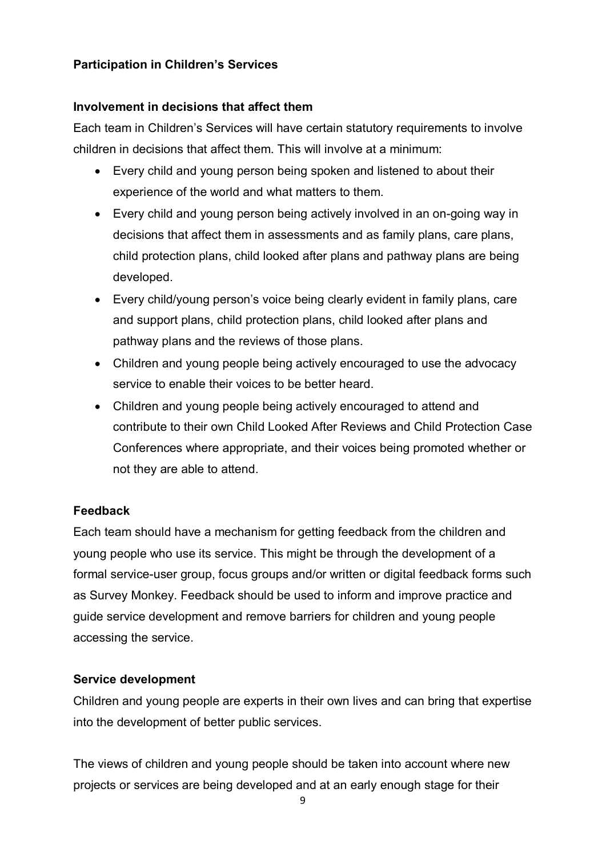# **Participation in Children's Services**

#### **Involvement in decisions that affect them**

Each team in Children's Services will have certain statutory requirements to involve children in decisions that affect them. This will involve at a minimum:

- Every child and young person being spoken and listened to about their experience of the world and what matters to them.
- Every child and young person being actively involved in an on-going way in decisions that affect them in assessments and as family plans, care plans, child protection plans, child looked after plans and pathway plans are being developed.
- Every child/young person's voice being clearly evident in family plans, care and support plans, child protection plans, child looked after plans and pathway plans and the reviews of those plans.
- Children and young people being actively encouraged to use the advocacy service to enable their voices to be better heard.
- Children and young people being actively encouraged to attend and contribute to their own Child Looked After Reviews and Child Protection Case Conferences where appropriate, and their voices being promoted whether or not they are able to attend.

#### **Feedback**

Each team should have a mechanism for getting feedback from the children and young people who use its service. This might be through the development of a formal service-user group, focus groups and/or written or digital feedback forms such as Survey Monkey. Feedback should be used to inform and improve practice and guide service development and remove barriers for children and young people accessing the service.

#### **Service development**

Children and young people are experts in their own lives and can bring that expertise into the development of better public services.

The views of children and young people should be taken into account where new projects or services are being developed and at an early enough stage for their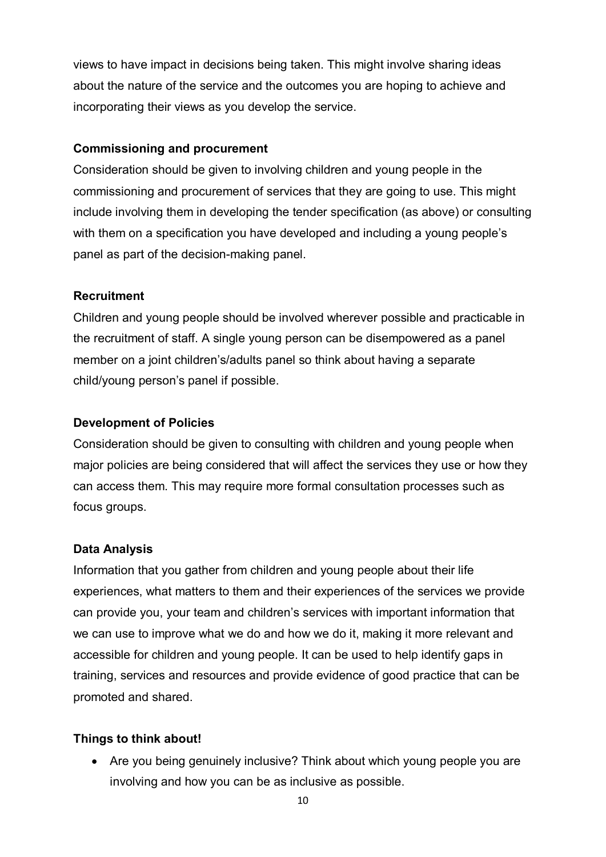views to have impact in decisions being taken. This might involve sharing ideas about the nature of the service and the outcomes you are hoping to achieve and incorporating their views as you develop the service.

#### **Commissioning and procurement**

Consideration should be given to involving children and young people in the commissioning and procurement of services that they are going to use. This might include involving them in developing the tender specification (as above) or consulting with them on a specification you have developed and including a young people's panel as part of the decision-making panel.

#### **Recruitment**

Children and young people should be involved wherever possible and practicable in the recruitment of staff. A single young person can be disempowered as a panel member on a joint children's/adults panel so think about having a separate child/young person's panel if possible.

#### **Development of Policies**

Consideration should be given to consulting with children and young people when major policies are being considered that will affect the services they use or how they can access them. This may require more formal consultation processes such as focus groups.

#### **Data Analysis**

Information that you gather from children and young people about their life experiences, what matters to them and their experiences of the services we provide can provide you, your team and children's services with important information that we can use to improve what we do and how we do it, making it more relevant and accessible for children and young people. It can be used to help identify gaps in training, services and resources and provide evidence of good practice that can be promoted and shared.

#### **Things to think about!**

• Are you being genuinely inclusive? Think about which young people you are involving and how you can be as inclusive as possible.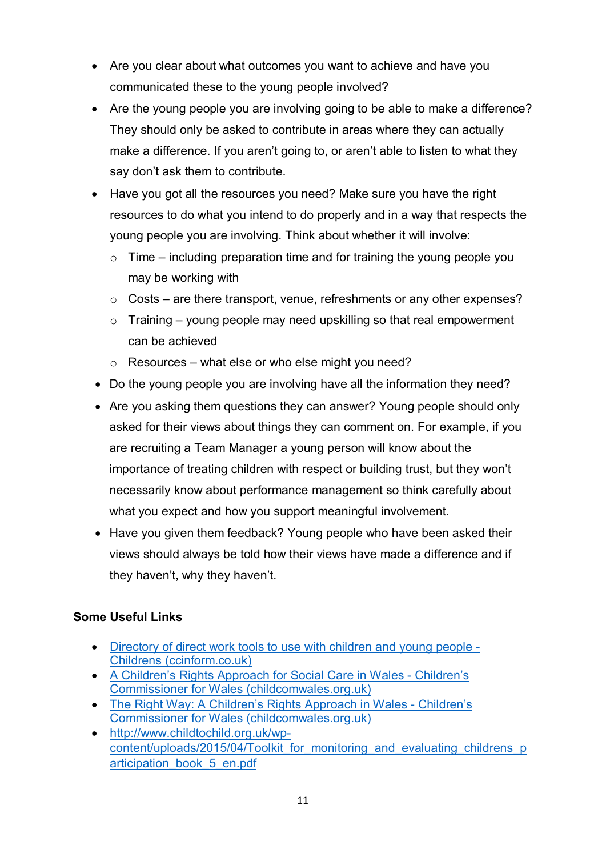- Are you clear about what outcomes you want to achieve and have you communicated these to the young people involved?
- Are the young people you are involving going to be able to make a difference? They should only be asked to contribute in areas where they can actually make a difference. If you aren't going to, or aren't able to listen to what they say don't ask them to contribute.
- Have you got all the resources you need? Make sure you have the right resources to do what you intend to do properly and in a way that respects the young people you are involving. Think about whether it will involve:
	- $\circ$  Time including preparation time and for training the young people you may be working with
	- o Costs are there transport, venue, refreshments or any other expenses?
	- $\circ$  Training young people may need upskilling so that real empowerment can be achieved
	- $\circ$  Resources what else or who else might you need?
- Do the young people you are involving have all the information they need?
- Are you asking them questions they can answer? Young people should only asked for their views about things they can comment on. For example, if you are recruiting a Team Manager a young person will know about the importance of treating children with respect or building trust, but they won't necessarily know about performance management so think carefully about what you expect and how you support meaningful involvement.
- Have you given them feedback? Young people who have been asked their views should always be told how their views have made a difference and if they haven't, why they haven't.

# **Some Useful Links**

- [Directory of direct work tools to use with children and young people -](https://www.ccinform.co.uk/learning-tools/directory-of-tools/?learning_tools=directory-of-tools#038;post_type=learning_tools&038;name=directory-of-tools) [Childrens \(ccinform.co.uk\)](https://www.ccinform.co.uk/learning-tools/directory-of-tools/?learning_tools=directory-of-tools#038;post_type=learning_tools&038;name=directory-of-tools)
- [A Children's Rights Approach for Social Care in Wales -](https://www.childcomwales.org.uk/the-right-way-a-childrens-rights-approach/a-childrens-rights-approach-for-social-care-in-wales/) Children's [Commissioner for Wales \(childcomwales.org.uk\)](https://www.childcomwales.org.uk/the-right-way-a-childrens-rights-approach/a-childrens-rights-approach-for-social-care-in-wales/)
- [The Right Way: A Children's Rights Approach in Wales -](https://www.childcomwales.org.uk/publication/right-way-childrens-rights-approach-wales/) Children's [Commissioner for Wales \(childcomwales.org.uk\)](https://www.childcomwales.org.uk/publication/right-way-childrens-rights-approach-wales/)
- [http://www.childtochild.org.uk/wp](http://www.childtochild.org.uk/wp-content/uploads/2015/04/Toolkit_for_monitoring_and_evaluating_childrens_participation_book_5_en.pdf)content/uploads/2015/04/Toolkit for monitoring and evaluating childrens p [articipation\\_book\\_5\\_en.pdf](http://www.childtochild.org.uk/wp-content/uploads/2015/04/Toolkit_for_monitoring_and_evaluating_childrens_participation_book_5_en.pdf)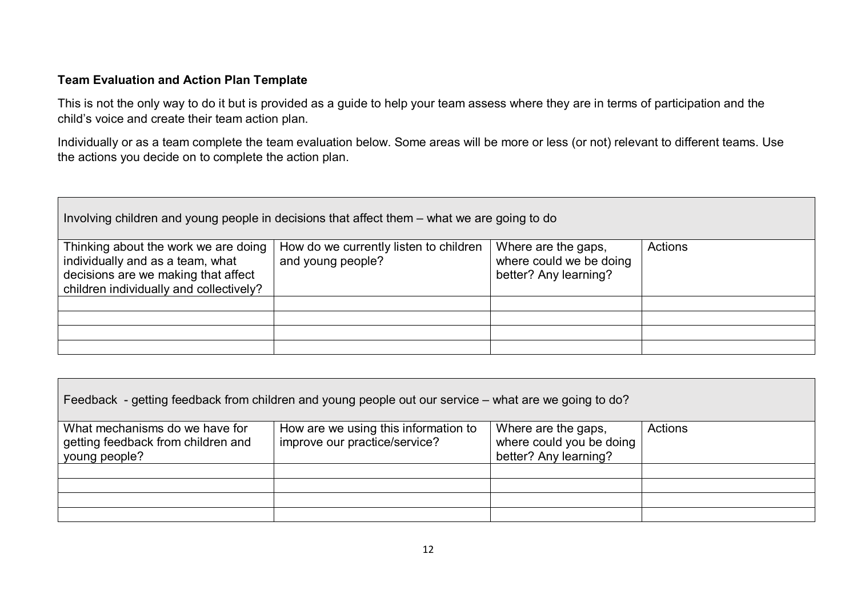# **Team Evaluation and Action Plan Template**

This is not the only way to do it but is provided as a guide to help your team assess where they are in terms of participation and the child's voice and create their team action plan.

Individually or as a team complete the team evaluation below. Some areas will be more or less (or not) relevant to different teams. Use the actions you decide on to complete the action plan.

| Involving children and young people in decisions that affect them – what we are going to do                                                                |                                                             |                                                                         |         |  |
|------------------------------------------------------------------------------------------------------------------------------------------------------------|-------------------------------------------------------------|-------------------------------------------------------------------------|---------|--|
| Thinking about the work we are doing<br>individually and as a team, what<br>decisions are we making that affect<br>children individually and collectively? | How do we currently listen to children<br>and young people? | Where are the gaps,<br>where could we be doing<br>better? Any learning? | Actions |  |
|                                                                                                                                                            |                                                             |                                                                         |         |  |
|                                                                                                                                                            |                                                             |                                                                         |         |  |

| Feedback - getting feedback from children and young people out our service – what are we going to do?                                                                                                                                                 |  |  |  |  |  |
|-------------------------------------------------------------------------------------------------------------------------------------------------------------------------------------------------------------------------------------------------------|--|--|--|--|--|
| How are we using this information to<br>Actions<br>What mechanisms do we have for<br>Where are the gaps,<br>improve our practice/service?<br>where could you be doing<br>getting feedback from children and<br>better? Any learning?<br>young people? |  |  |  |  |  |
|                                                                                                                                                                                                                                                       |  |  |  |  |  |
|                                                                                                                                                                                                                                                       |  |  |  |  |  |
|                                                                                                                                                                                                                                                       |  |  |  |  |  |
|                                                                                                                                                                                                                                                       |  |  |  |  |  |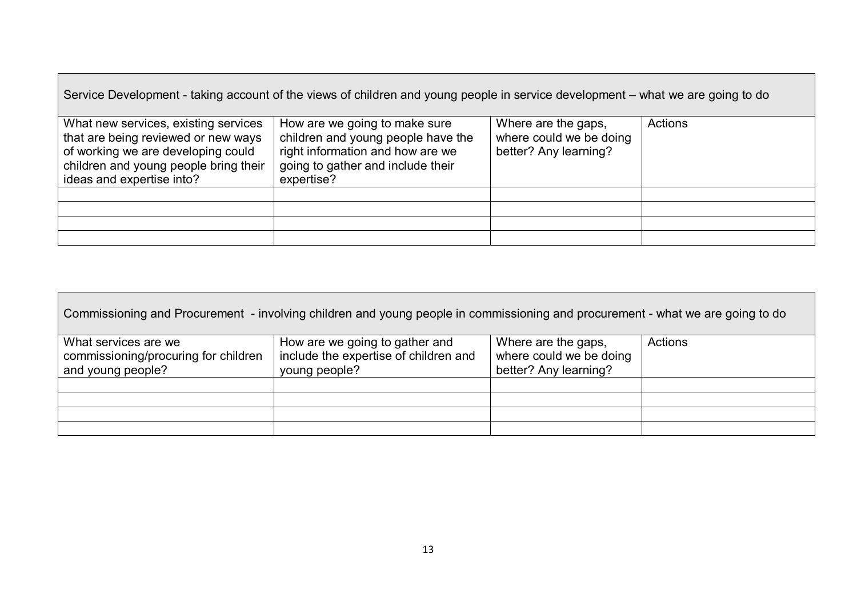| Service Development - taking account of the views of children and young people in service development – what we are going to do                                                         |                                                                                                                                                            |                                                                         |         |  |
|-----------------------------------------------------------------------------------------------------------------------------------------------------------------------------------------|------------------------------------------------------------------------------------------------------------------------------------------------------------|-------------------------------------------------------------------------|---------|--|
| What new services, existing services<br>that are being reviewed or new ways<br>of working we are developing could<br>children and young people bring their<br>ideas and expertise into? | How are we going to make sure<br>children and young people have the<br>right information and how are we<br>going to gather and include their<br>expertise? | Where are the gaps,<br>where could we be doing<br>better? Any learning? | Actions |  |
|                                                                                                                                                                                         |                                                                                                                                                            |                                                                         |         |  |
|                                                                                                                                                                                         |                                                                                                                                                            |                                                                         |         |  |
|                                                                                                                                                                                         |                                                                                                                                                            |                                                                         |         |  |
|                                                                                                                                                                                         |                                                                                                                                                            |                                                                         |         |  |

 $\overline{\phantom{0}}$ 

| Commissioning and Procurement - involving children and young people in commissioning and procurement - what we are going to do |                                                                                          |                                                                         |         |  |  |
|--------------------------------------------------------------------------------------------------------------------------------|------------------------------------------------------------------------------------------|-------------------------------------------------------------------------|---------|--|--|
| What services are we<br>commissioning/procuring for children<br>and young people?                                              | How are we going to gather and<br>include the expertise of children and<br>young people? | Where are the gaps,<br>where could we be doing<br>better? Any learning? | Actions |  |  |
|                                                                                                                                |                                                                                          |                                                                         |         |  |  |
|                                                                                                                                |                                                                                          |                                                                         |         |  |  |
|                                                                                                                                |                                                                                          |                                                                         |         |  |  |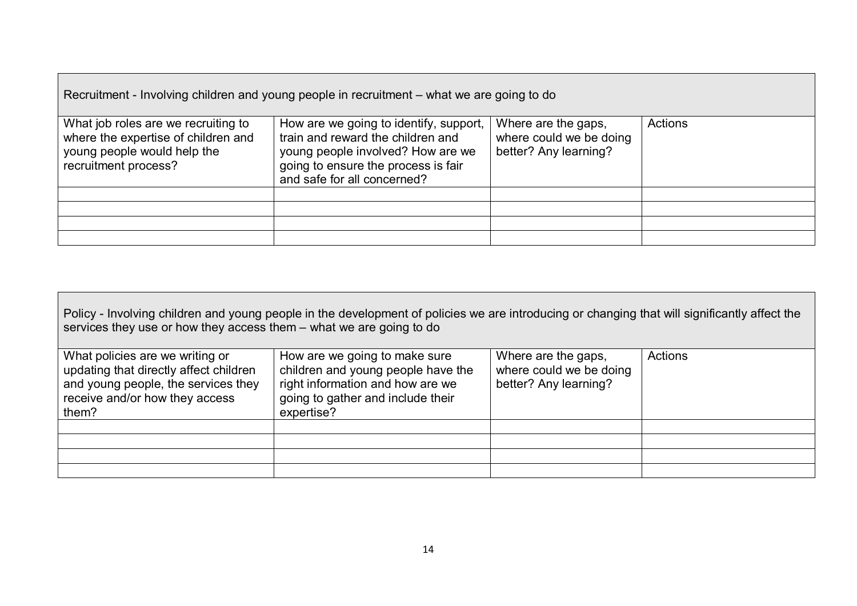| Recruitment - Involving children and young people in recruitment – what we are going to do |                                                                             |                                                |         |  |  |
|--------------------------------------------------------------------------------------------|-----------------------------------------------------------------------------|------------------------------------------------|---------|--|--|
| What job roles are we recruiting to<br>where the expertise of children and                 | How are we going to identify, support,<br>train and reward the children and | Where are the gaps,<br>where could we be doing | Actions |  |  |
| young people would help the                                                                | young people involved? How are we                                           | better? Any learning?                          |         |  |  |
| recruitment process?                                                                       | going to ensure the process is fair<br>and safe for all concerned?          |                                                |         |  |  |
|                                                                                            |                                                                             |                                                |         |  |  |
|                                                                                            |                                                                             |                                                |         |  |  |
|                                                                                            |                                                                             |                                                |         |  |  |
|                                                                                            |                                                                             |                                                |         |  |  |

| Policy - Involving children and young people in the development of policies we are introducing or changing that will significantly affect the<br>services they use or how they access them - what we are going to do |                                                                                                                                                            |                                                                         |         |  |
|----------------------------------------------------------------------------------------------------------------------------------------------------------------------------------------------------------------------|------------------------------------------------------------------------------------------------------------------------------------------------------------|-------------------------------------------------------------------------|---------|--|
| What policies are we writing or<br>updating that directly affect children<br>and young people, the services they<br>receive and/or how they access<br>them?                                                          | How are we going to make sure<br>children and young people have the<br>right information and how are we<br>going to gather and include their<br>expertise? | Where are the gaps,<br>where could we be doing<br>better? Any learning? | Actions |  |
|                                                                                                                                                                                                                      |                                                                                                                                                            |                                                                         |         |  |
|                                                                                                                                                                                                                      |                                                                                                                                                            |                                                                         |         |  |

 $\Box$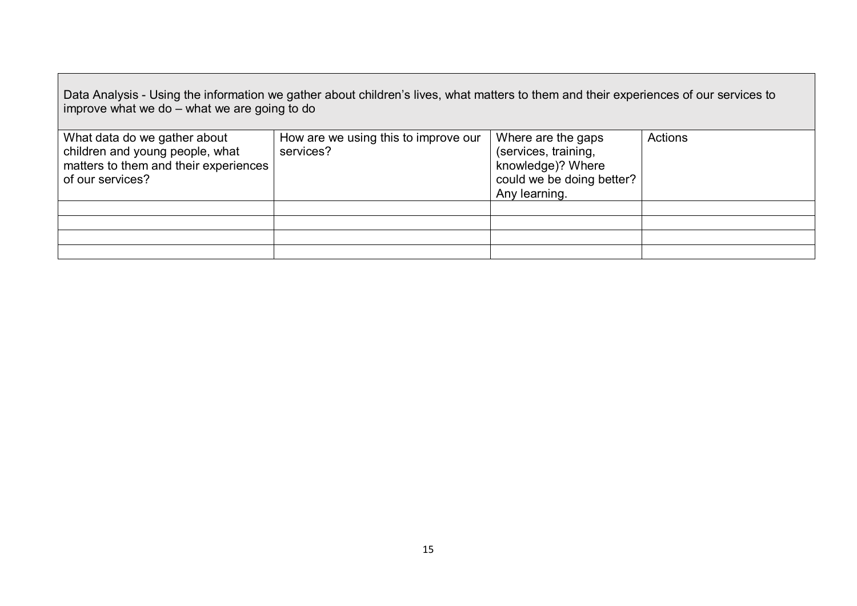Data Analysis - Using the information we gather about children's lives, what matters to them and their experiences of our services to improve what we do – what we are going to do

| What data do we gather about          | How are we using this to improve our | Where are the gaps        | Actions |
|---------------------------------------|--------------------------------------|---------------------------|---------|
| children and young people, what       | services?                            | (services, training,      |         |
| matters to them and their experiences |                                      | knowledge)? Where         |         |
| of our services?                      |                                      | could we be doing better? |         |
|                                       |                                      | Any learning.             |         |
|                                       |                                      |                           |         |
|                                       |                                      |                           |         |
|                                       |                                      |                           |         |
|                                       |                                      |                           |         |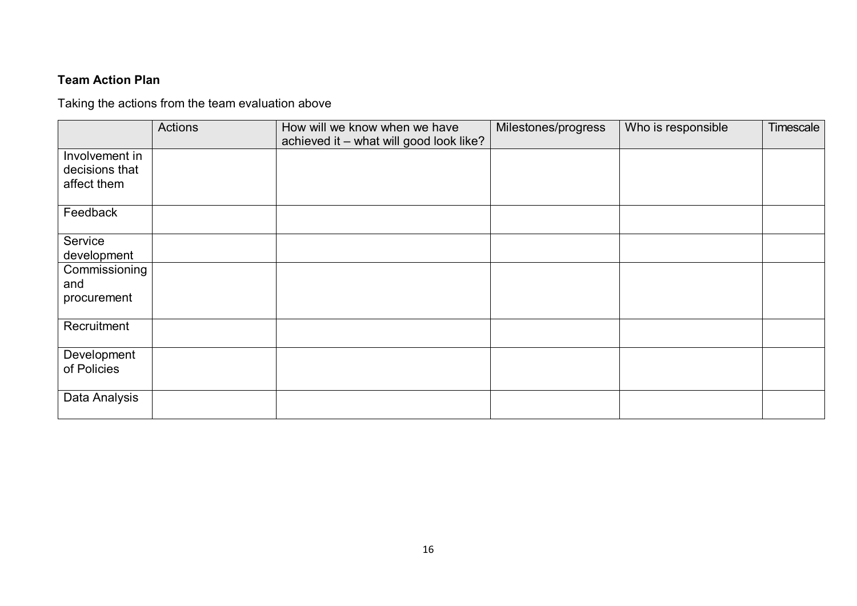# **Team Action Plan**

Taking the actions from the team evaluation above

|                                                 | Actions | How will we know when we have<br>achieved it - what will good look like? | Milestones/progress | Who is responsible | Timescale |
|-------------------------------------------------|---------|--------------------------------------------------------------------------|---------------------|--------------------|-----------|
| Involvement in<br>decisions that<br>affect them |         |                                                                          |                     |                    |           |
| Feedback                                        |         |                                                                          |                     |                    |           |
| Service<br>development                          |         |                                                                          |                     |                    |           |
| Commissioning<br>and<br>procurement             |         |                                                                          |                     |                    |           |
| Recruitment                                     |         |                                                                          |                     |                    |           |
| Development<br>of Policies                      |         |                                                                          |                     |                    |           |
| Data Analysis                                   |         |                                                                          |                     |                    |           |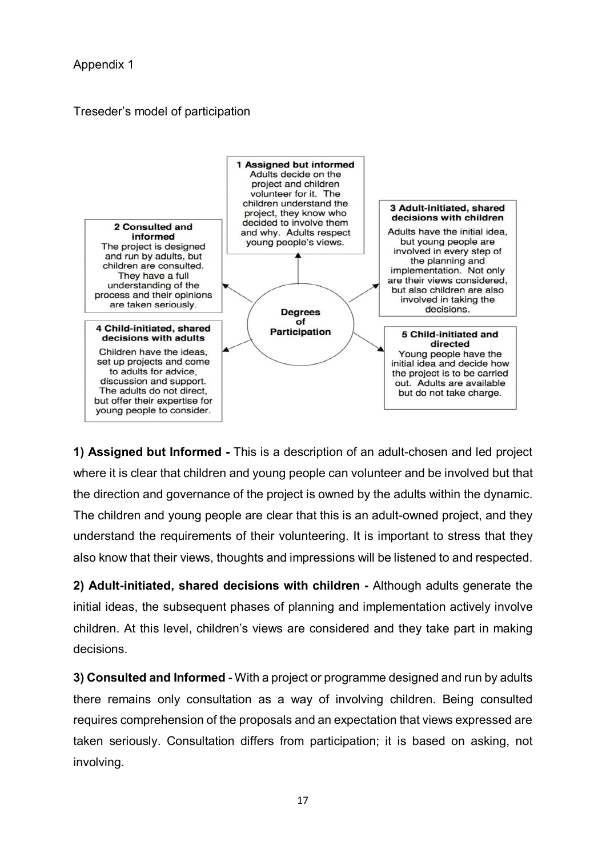Appendix 1

Treseder's model of participation



**1) Assigned but Informed -** This is a description of an adult-chosen and led project where it is clear that children and young people can volunteer and be involved but that the direction and governance of the project is owned by the adults within the dynamic. The children and young people are clear that this is an adult-owned project, and they understand the requirements of their volunteering. It is important to stress that they also know that their views, thoughts and impressions will be listened to and respected.

**2) Adult-initiated, shared decisions with children -** Although adults generate the initial ideas, the subsequent phases of planning and implementation actively involve children. At this level, children's views are considered and they take part in making decisions.

**3) Consulted and Informed** - With a project or programme designed and run by adults there remains only consultation as a way of involving children. Being consulted requires comprehension of the proposals and an expectation that views expressed are taken seriously. Consultation differs from participation; it is based on asking, not involving.